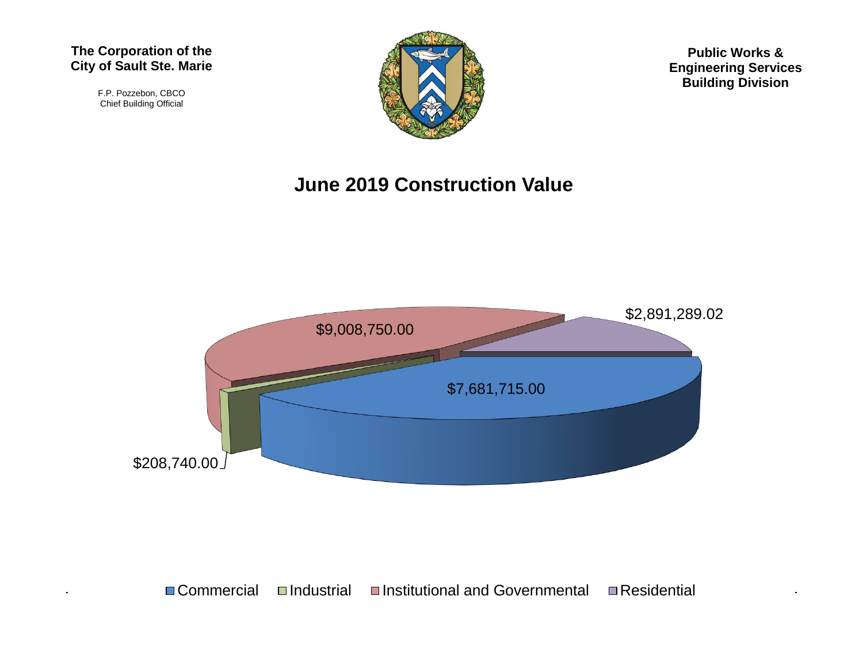#### **The Corporation of the City of Sault Ste. Marie**

F.P. Pozzebon, CBCO Chief Building Official



**Public Works & Engineering Services Building Division**

#### **June 2019 Construction Value**

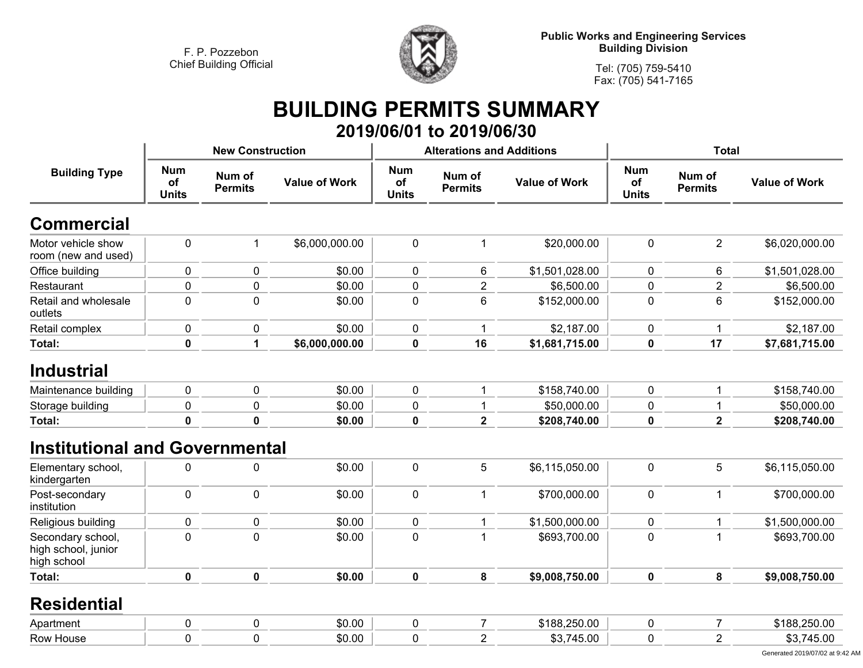

**Public Works and Engineering Services Building Division**

**Tel: (705) 759-5410Fax: (705) 541-7165**

# **BUILDING PERMITS SUMMARY 2019/06/01 to 2019/06/30**

|                                                         |                                  | <b>New Construction</b>  |                      |                                  | <b>Alterations and Additions</b> |                      | <b>Total</b>                     |                          |                      |
|---------------------------------------------------------|----------------------------------|--------------------------|----------------------|----------------------------------|----------------------------------|----------------------|----------------------------------|--------------------------|----------------------|
| <b>Building Type</b>                                    | <b>Num</b><br>of<br><b>Units</b> | Num of<br><b>Permits</b> | <b>Value of Work</b> | <b>Num</b><br>of<br><b>Units</b> | Num of<br><b>Permits</b>         | <b>Value of Work</b> | <b>Num</b><br>of<br><b>Units</b> | Num of<br><b>Permits</b> | <b>Value of Work</b> |
| <b>Commercial</b>                                       |                                  |                          |                      |                                  |                                  |                      |                                  |                          |                      |
| Motor vehicle show<br>room (new and used)               | $\pmb{0}$                        | $\mathbf{1}$             | \$6,000,000.00       | $\pmb{0}$                        | $\mathbf{1}$                     | \$20,000.00          | $\mathbf 0$                      | $\overline{2}$           | \$6,020,000.00       |
| Office building                                         | $\pmb{0}$                        | $\mathbf 0$              | \$0.00               | 0                                | 6                                | \$1,501,028.00       | 0                                | 6                        | \$1,501,028.00       |
| Restaurant                                              | $\pmb{0}$                        | $\pmb{0}$                | \$0.00               | 0                                | $\overline{c}$                   | \$6,500.00           | 0                                | $\overline{2}$           | \$6,500.00           |
| Retail and wholesale<br>outlets                         | $\mathbf 0$                      | $\mathbf 0$              | \$0.00               | $\mathbf 0$                      | 6                                | \$152,000.00         | $\mathbf 0$                      | 6                        | \$152,000.00         |
| Retail complex                                          | 0                                | $\mathbf 0$              | \$0.00               | $\mathbf 0$                      | 1                                | \$2,187.00           | 0                                | $\mathbf 1$              | \$2,187.00           |
| Total:                                                  | $\pmb{0}$                        | 1                        | \$6,000,000.00       | $\mathbf 0$                      | 16                               | \$1,681,715.00       | 0                                | 17                       | \$7,681,715.00       |
| <b>Industrial</b>                                       |                                  |                          |                      |                                  |                                  |                      |                                  |                          |                      |
| Maintenance building                                    | $\mathbf 0$                      | $\mathbf 0$              | \$0.00               | $\mathbf 0$                      | 1                                | \$158,740.00         | $\mathbf 0$                      | $\mathbf{1}$             | \$158,740.00         |
| Storage building                                        | $\pmb{0}$                        | $\pmb{0}$                | \$0.00               | $\pmb{0}$                        | 1                                | \$50,000.00          | 0                                | $\mathbf{1}$             | \$50,000.00          |
| Total:                                                  | $\mathbf 0$                      | $\mathbf 0$              | \$0.00               | $\mathbf 0$                      | $\overline{\mathbf{2}}$          | \$208,740.00         | 0                                | $\overline{\mathbf{2}}$  | \$208,740.00         |
| <b>Institutional and Governmental</b>                   |                                  |                          |                      |                                  |                                  |                      |                                  |                          |                      |
| Elementary school,<br>kindergarten                      | $\pmb{0}$                        | $\pmb{0}$                | \$0.00               | $\pmb{0}$                        | 5                                | \$6,115,050.00       | $\mathbf 0$                      | 5                        | \$6,115,050.00       |
| Post-secondary<br>institution                           | $\pmb{0}$                        | $\pmb{0}$                | \$0.00               | 0                                | $\mathbf 1$                      | \$700,000.00         | $\pmb{0}$                        | $\mathbf{1}$             | \$700,000.00         |
| Religious building                                      | $\pmb{0}$                        | $\pmb{0}$                | \$0.00               | 0                                | 1                                | \$1,500,000.00       | 0                                | $\mathbf{1}$             | \$1,500,000.00       |
| Secondary school,<br>high school, junior<br>high school | $\mathbf 0$                      | $\mathbf 0$              | \$0.00               | $\mathbf 0$                      | $\mathbf 1$                      | \$693,700.00         | 0                                | $\mathbf{1}$             | \$693,700.00         |
| <b>Total:</b>                                           | $\mathbf 0$                      | $\mathbf 0$              | \$0.00               | $\mathbf 0$                      | 8                                | \$9,008,750.00       | 0                                | 8                        | \$9,008,750.00       |
| <b>Residential</b>                                      |                                  |                          |                      |                                  |                                  |                      |                                  |                          |                      |
| Apartment                                               | $\pmb{0}$                        | $\pmb{0}$                | \$0.00               | $\pmb{0}$                        | $\overline{7}$                   | \$188,250.00         | 0                                | $\overline{7}$           | \$188,250.00         |
| Row House                                               | $\mathbf 0$                      | $\mathbf 0$              | \$0.00               | $\mathbf 0$                      | $\overline{2}$                   | \$3,745.00           | 0                                | $\overline{2}$           | \$3,745.00           |
|                                                         |                                  |                          |                      |                                  |                                  |                      |                                  |                          |                      |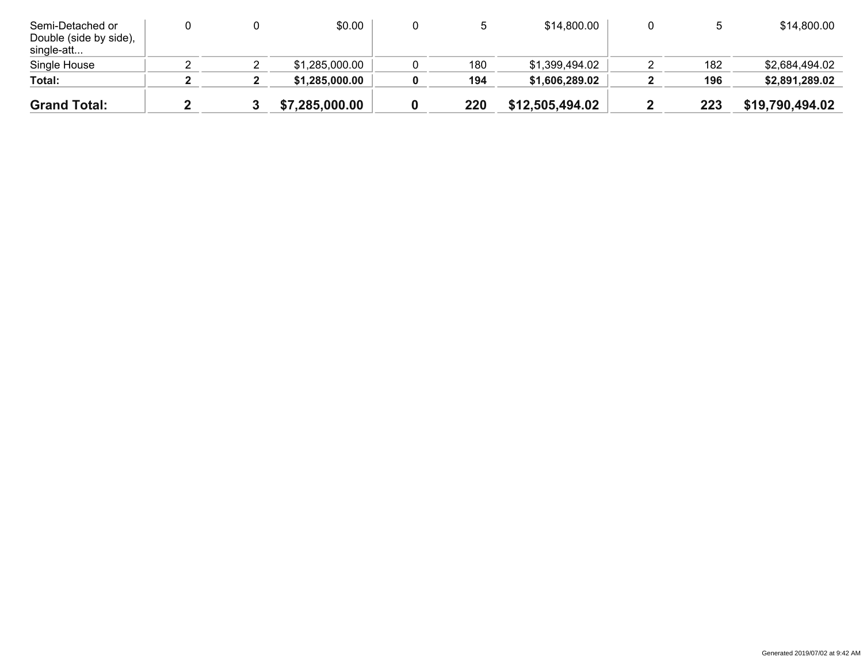| Semi-Detached or<br>Double (side by side),<br>single-att |  | \$0.00         |     | \$14,800.00     |     | \$14,800.00     |
|----------------------------------------------------------|--|----------------|-----|-----------------|-----|-----------------|
| Single House                                             |  | \$1,285,000.00 | 180 | \$1,399,494.02  | 182 | \$2,684,494.02  |
| Total:                                                   |  | \$1,285,000.00 | 194 | \$1,606,289.02  | 196 | \$2,891,289.02  |
| <b>Grand Total:</b>                                      |  | \$7,285,000.00 | 220 | \$12,505,494.02 | 223 | \$19,790,494.02 |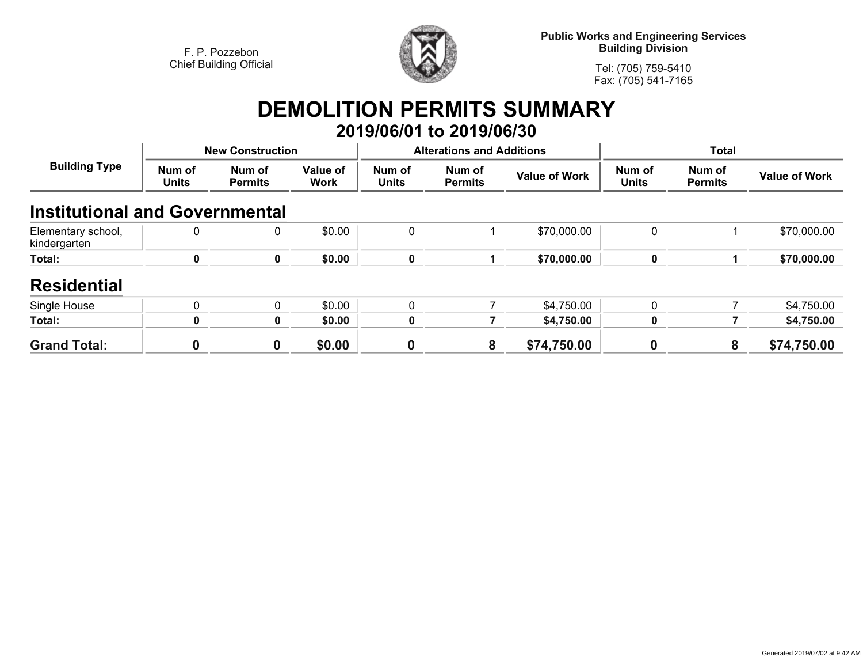

**Public Works and Engineering Services Building Division**

**Tel: (705) 759-5410Fax: (705) 541-7165**

# **DEMOLITION PERMITS SUMMARY 2019/06/01 to 2019/06/30**

| <b>Building Type</b>                  | <b>New Construction</b> |                          |                  |                        | <b>Alterations and Additions</b> |                      | <b>Total</b>           |                          |                      |
|---------------------------------------|-------------------------|--------------------------|------------------|------------------------|----------------------------------|----------------------|------------------------|--------------------------|----------------------|
|                                       | Num of<br><b>Units</b>  | Num of<br><b>Permits</b> | Value of<br>Work | Num of<br><b>Units</b> | Num of<br><b>Permits</b>         | <b>Value of Work</b> | Num of<br><b>Units</b> | Num of<br><b>Permits</b> | <b>Value of Work</b> |
| <b>Institutional and Governmental</b> |                         |                          |                  |                        |                                  |                      |                        |                          |                      |
| Elementary school,<br>kindergarten    | 0                       | 0                        | \$0.00           | 0                      |                                  | \$70,000.00          | 0                      |                          | \$70,000.00          |
| Total:                                | 0                       | 0                        | \$0.00           | 0                      |                                  | \$70,000.00          | $\mathbf 0$            |                          | \$70,000.00          |
| <b>Residential</b>                    |                         |                          |                  |                        |                                  |                      |                        |                          |                      |
| Single House                          | 0                       | 0                        | \$0.00           | 0                      |                                  | \$4,750.00           | 0                      |                          | \$4,750.00           |
| Total:                                | 0                       | 0                        | \$0.00           | 0                      |                                  | \$4,750.00           | 0                      |                          | \$4,750.00           |
| <b>Grand Total:</b>                   | 0                       | 0                        | \$0.00           | 0                      | 8                                | \$74,750.00          | $\boldsymbol{0}$       | 8                        | \$74,750.00          |